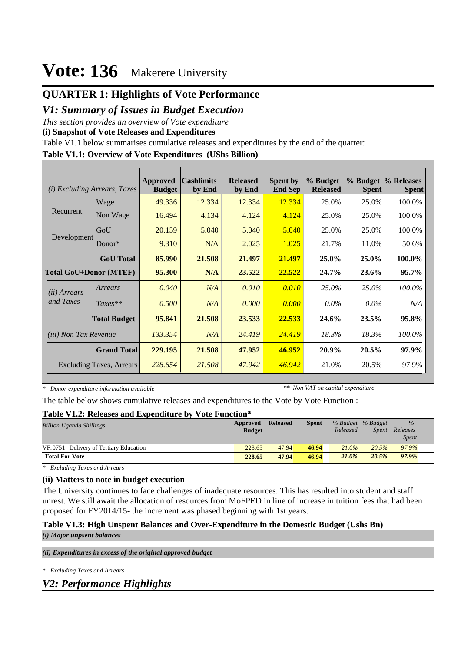### **QUARTER 1: Highlights of Vote Performance**

### *V1: Summary of Issues in Budget Execution*

*This section provides an overview of Vote expenditure* 

**(i) Snapshot of Vote Releases and Expenditures**

Table V1.1 below summarises cumulative releases and expenditures by the end of the quarter:

#### **Table V1.1: Overview of Vote Expenditures (UShs Billion)**

| (i)                          | <i>Excluding Arrears, Taxes</i> | <b>Approved</b><br><b>Budget</b> | <b>Cashlimits</b><br>by End | <b>Released</b><br>by End | <b>Spent by</b><br><b>End Sep</b> | % Budget<br><b>Released</b> | <b>Spent</b> | % Budget % Releases<br><b>Spent</b> |
|------------------------------|---------------------------------|----------------------------------|-----------------------------|---------------------------|-----------------------------------|-----------------------------|--------------|-------------------------------------|
|                              | Wage                            | 49.336                           | 12.334                      | 12.334                    | 12.334                            | 25.0%                       | 25.0%        | 100.0%                              |
| Recurrent                    | Non Wage                        | 16.494                           | 4.134                       | 4.124                     | 4.124                             | 25.0%                       | 25.0%        | 100.0%                              |
|                              | GoU                             | 20.159                           | 5.040                       | 5.040                     | 5.040                             | 25.0%                       | 25.0%        | 100.0%                              |
| Development                  | $Donor*$                        | 9.310                            | N/A                         | 2.025                     | 1.025                             | 21.7%                       | 11.0%        | 50.6%                               |
|                              | <b>GoU</b> Total                | 85.990                           | 21.508                      | 21.497                    | 21.497                            | 25.0%                       | 25.0%        | 100.0%                              |
|                              | <b>Total GoU+Donor (MTEF)</b>   | 95.300                           | N/A                         | 23.522                    | 22.522                            | 24.7%                       | 23.6%        | $95.7\%$                            |
| ( <i>ii</i> ) Arrears        | Arrears                         | 0.040                            | N/A                         | 0.010                     | 0.010                             | 25.0%                       | 25.0%        | 100.0%                              |
| and Taxes                    | $Taxes**$                       | 0.500                            | N/A                         | 0.000                     | 0.000                             | $0.0\%$                     | $0.0\%$      | N/A                                 |
|                              | <b>Total Budget</b>             | 95.841                           | 21.508                      | 23.533                    | 22.533                            | 24.6%                       | 23.5%        | 95.8%                               |
| <i>(iii)</i> Non Tax Revenue |                                 | 133.354                          | N/A                         | 24.419                    | 24.419                            | 18.3%                       | 18.3%        | 100.0%                              |
|                              | <b>Grand Total</b>              | 229.195                          | 21.508                      | 47.952                    | 46.952                            | 20.9%                       | 20.5%        | 97.9%                               |
|                              | <b>Excluding Taxes, Arrears</b> | 228.654                          | 21.508                      | 47.942                    | 46.942                            | 21.0%                       | 20.5%        | 97.9%                               |

*\* Donor expenditure information available*

*\*\* Non VAT on capital expenditure*

The table below shows cumulative releases and expenditures to the Vote by Vote Function :

#### **Table V1.2: Releases and Expenditure by Vote Function\***

| <b>Billion Uganda Shillings</b>        | Approved<br><b>Budget</b> | <b>Released</b> | <b>Spent</b> | % Budget % Budget<br>Released | Spent | $\%$<br>Releases<br><i>Spent</i> |  |
|----------------------------------------|---------------------------|-----------------|--------------|-------------------------------|-------|----------------------------------|--|
| VF:0751 Delivery of Tertiary Education | 228.65                    | 47.94           | 46.94        | $21.0\%$                      | 20.5% | 97.9%                            |  |
| <b>Total For Vote</b>                  | 228.65                    | 47.94           | 46.94        | 21.0%                         | 20.5% | 97.9%                            |  |

*\* Excluding Taxes and Arrears*

#### **(ii) Matters to note in budget execution**

The University continues to face challenges of inadequate resources. This has resulted into student and staff unrest. We still await the allocation of resources from MoFPED in liue of increase in tuition fees that had been proposed for FY2014/15- the increment was phased beginning with 1st years.

#### **Table V1.3: High Unspent Balances and Over-Expenditure in the Domestic Budget (Ushs Bn)** *(i) Major unpsent balances*

*(ii) Expenditures in excess of the original approved budget*

*\* Excluding Taxes and Arrears*

*V2: Performance Highlights*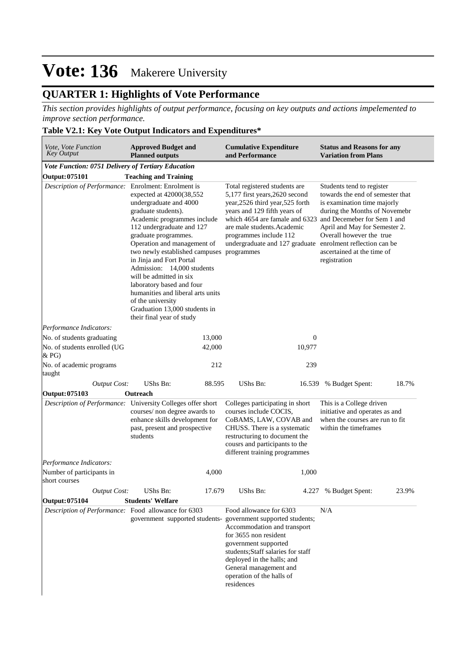### **QUARTER 1: Highlights of Vote Performance**

*This section provides highlights of output performance, focusing on key outputs and actions impelemented to improve section performance.*

#### **Table V2.1: Key Vote Output Indicators and Expenditures\***

| Vote, Vote Function<br><b>Key Output</b>            | <b>Approved Budget and</b><br><b>Planned outputs</b>                                                                                                                                                                                                                                                                                                                                                                                                                                | <b>Cumulative Expenditure</b><br>and Performance                                                                                                                                                                                                                                  | <b>Status and Reasons for any</b><br><b>Variation from Plans</b>                                                                                                                                                                                                                                       |
|-----------------------------------------------------|-------------------------------------------------------------------------------------------------------------------------------------------------------------------------------------------------------------------------------------------------------------------------------------------------------------------------------------------------------------------------------------------------------------------------------------------------------------------------------------|-----------------------------------------------------------------------------------------------------------------------------------------------------------------------------------------------------------------------------------------------------------------------------------|--------------------------------------------------------------------------------------------------------------------------------------------------------------------------------------------------------------------------------------------------------------------------------------------------------|
| Vote Function: 0751 Delivery of Tertiary Education  |                                                                                                                                                                                                                                                                                                                                                                                                                                                                                     |                                                                                                                                                                                                                                                                                   |                                                                                                                                                                                                                                                                                                        |
| Output: 075101                                      | <b>Teaching and Training</b>                                                                                                                                                                                                                                                                                                                                                                                                                                                        |                                                                                                                                                                                                                                                                                   |                                                                                                                                                                                                                                                                                                        |
| Description of Performance: Enrolment: Enrolment is | expected at 42000(38,552<br>undergraduate and 4000<br>graduate students).<br>Academic programmes include<br>112 undergraduate and 127<br>graduate programmes.<br>Operation and management of<br>two newly established campuses programmes<br>in Jinja and Fort Portal<br>Admission: 14,000 students<br>will be admitted in six<br>laboratory based and four<br>humanities and liberal arts units<br>of the university<br>Graduation 13,000 students in<br>their final year of study | Total registered students are<br>5,177 first years, 2620 second<br>year, 2526 third year, 525 forth<br>years and 129 fifth years of<br>which 4654 are famale and 6323<br>are male students. Academic<br>programmes include 112<br>undergraduate and 127 graduate                  | Students tend to register<br>towards the end of semester that<br>is examination time majorly<br>during the Months of Novemebr<br>and Decemeber for Sem 1 and<br>April and May for Semester 2.<br>Overall however the true<br>enrolment reflection can be<br>ascertained at the time of<br>registration |
| Performance Indicators:                             |                                                                                                                                                                                                                                                                                                                                                                                                                                                                                     |                                                                                                                                                                                                                                                                                   |                                                                                                                                                                                                                                                                                                        |
| No. of students graduating                          | 13,000                                                                                                                                                                                                                                                                                                                                                                                                                                                                              | $\theta$                                                                                                                                                                                                                                                                          |                                                                                                                                                                                                                                                                                                        |
| No. of students enrolled (UG<br>& P <sub>G</sub>    | 42,000                                                                                                                                                                                                                                                                                                                                                                                                                                                                              | 10,977                                                                                                                                                                                                                                                                            |                                                                                                                                                                                                                                                                                                        |
| No. of academic programs<br>taught                  | 212                                                                                                                                                                                                                                                                                                                                                                                                                                                                                 | 239                                                                                                                                                                                                                                                                               |                                                                                                                                                                                                                                                                                                        |
| <b>Output Cost:</b>                                 | <b>UShs Bn:</b><br>88.595                                                                                                                                                                                                                                                                                                                                                                                                                                                           | <b>UShs Bn:</b><br>16.539                                                                                                                                                                                                                                                         | 18.7%<br>% Budget Spent:                                                                                                                                                                                                                                                                               |
| Output: 075103                                      | Outreach                                                                                                                                                                                                                                                                                                                                                                                                                                                                            |                                                                                                                                                                                                                                                                                   |                                                                                                                                                                                                                                                                                                        |
|                                                     | Description of Performance: University Colleges offer short<br>courses/ non degree awards to<br>enhance skills development for<br>past, present and prospective<br>students                                                                                                                                                                                                                                                                                                         | Colleges participating in short<br>courses include COCIS,<br>CoBAMS, LAW, COVAB and<br>CHUSS. There is a systematic<br>restructuring to document the<br>cousrs and participants to the<br>different training programmes                                                           | This is a College driven<br>initiative and operates as and<br>when the courses are run to fit<br>within the timeframes                                                                                                                                                                                 |
| Performance Indicators:                             |                                                                                                                                                                                                                                                                                                                                                                                                                                                                                     |                                                                                                                                                                                                                                                                                   |                                                                                                                                                                                                                                                                                                        |
| Number of participants in<br>short courses          | 4,000                                                                                                                                                                                                                                                                                                                                                                                                                                                                               | 1,000                                                                                                                                                                                                                                                                             |                                                                                                                                                                                                                                                                                                        |
| <b>Output Cost:</b>                                 | <b>UShs Bn:</b><br>17.679                                                                                                                                                                                                                                                                                                                                                                                                                                                           | UShs Bn:                                                                                                                                                                                                                                                                          | 4.227 % Budget Spent:<br>23.9%                                                                                                                                                                                                                                                                         |
| Output: 075104                                      | <b>Students' Welfare</b>                                                                                                                                                                                                                                                                                                                                                                                                                                                            |                                                                                                                                                                                                                                                                                   |                                                                                                                                                                                                                                                                                                        |
| Description of Performance: Food allowance for 6303 | government supported students-                                                                                                                                                                                                                                                                                                                                                                                                                                                      | Food allowance for 6303<br>government supported students;<br>Accommodation and transport<br>for 3655 non resident<br>government supported<br>students;Staff salaries for staff<br>deployed in the halls; and<br>General management and<br>operation of the halls of<br>residences | N/A                                                                                                                                                                                                                                                                                                    |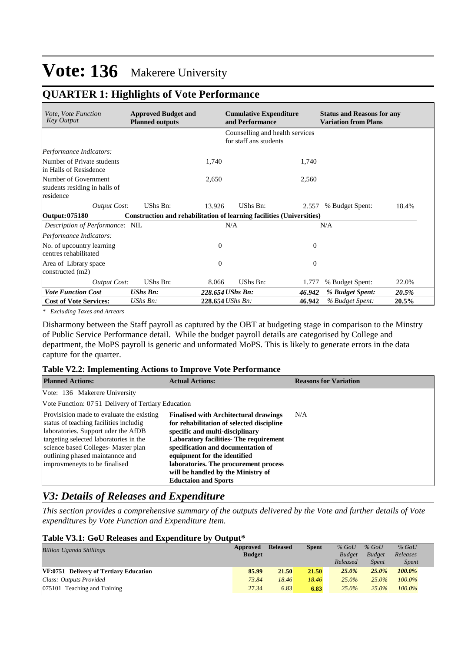### **QUARTER 1: Highlights of Vote Performance**

| <i>Vote, Vote Function</i><br><b>Key Output</b>                    | <b>Approved Budget and</b><br><b>Planned outputs</b>                  |                  | <b>Cumulative Expenditure</b><br>and Performance          |          | <b>Status and Reasons for any</b><br><b>Variation from Plans</b> |       |  |  |
|--------------------------------------------------------------------|-----------------------------------------------------------------------|------------------|-----------------------------------------------------------|----------|------------------------------------------------------------------|-------|--|--|
|                                                                    |                                                                       |                  | Counselling and health services<br>for staff ans students |          |                                                                  |       |  |  |
| Performance Indicators:                                            |                                                                       |                  |                                                           |          |                                                                  |       |  |  |
| Number of Private students<br>in Halls of Resisdence               |                                                                       | 1,740            |                                                           | 1,740    |                                                                  |       |  |  |
| Number of Government<br>students residing in halls of<br>residence |                                                                       | 2,650            |                                                           | 2,560    |                                                                  |       |  |  |
| <b>Output Cost:</b>                                                | UShs Bn:                                                              | 13.926           | UShs Bn:                                                  | 2.557    | % Budget Spent:                                                  | 18.4% |  |  |
| Output: 075180                                                     | Construction and rehabilitation of learning facilities (Universities) |                  |                                                           |          |                                                                  |       |  |  |
| Description of Performance: NIL                                    |                                                                       | N/A              |                                                           |          | N/A                                                              |       |  |  |
| Performance Indicators:                                            |                                                                       |                  |                                                           |          |                                                                  |       |  |  |
| No. of upcountry learning<br>centres rehabilitated                 |                                                                       | $\Omega$         |                                                           | $\Omega$ |                                                                  |       |  |  |
| Area of Library space<br>constructed $(m2)$                        |                                                                       | $\Omega$         |                                                           | $\theta$ |                                                                  |       |  |  |
| <b>Output Cost:</b>                                                | UShs Bn:                                                              | 8.066            | UShs Bn:                                                  | 1.777    | % Budget Spent:                                                  | 22.0% |  |  |
| <b>Vote Function Cost</b>                                          | <b>UShs Bn:</b>                                                       | 228.654 UShs Bn: |                                                           | 46.942   | % Budget Spent:                                                  | 20.5% |  |  |
| <b>Cost of Vote Services:</b>                                      | $\mathit{UShs}\, \mathit{Bn}$ :                                       | 228.654 UShs Bn: |                                                           | 46.942   | % Budget Spent:                                                  | 20.5% |  |  |

*\* Excluding Taxes and Arrears*

Disharmony between the Staff payroll as captured by the OBT at budgeting stage in comparison to the Minstry of Public Service Performance detail. While the budget payroll details are categorised by College and department, the MoPS payroll is generic and unformated MoPS. This is likely to generate errors in the data capture for the quarter.

#### **Table V2.2: Implementing Actions to Improve Vote Performance**

| <b>Planned Actions:</b>                                                                                                                                                                                                                                                         | <b>Actual Actions:</b>                                                                                                                                                                                                                                                                                                                                            | <b>Reasons for Variation</b> |
|---------------------------------------------------------------------------------------------------------------------------------------------------------------------------------------------------------------------------------------------------------------------------------|-------------------------------------------------------------------------------------------------------------------------------------------------------------------------------------------------------------------------------------------------------------------------------------------------------------------------------------------------------------------|------------------------------|
| Vote: 136 Makerere University                                                                                                                                                                                                                                                   |                                                                                                                                                                                                                                                                                                                                                                   |                              |
| Vote Function: 07.51 Delivery of Tertiary Education                                                                                                                                                                                                                             |                                                                                                                                                                                                                                                                                                                                                                   |                              |
| Provisision made to evaluate the existing<br>status of teaching facilities includig<br>laboratories. Support uder the AfDB<br>targeting selected laboratories in the<br>science based Colleges- Master plan<br>outlining phased maintannce and<br>improvmeneyts to be finalised | <b>Finalised with Architectural drawings</b><br>for rehabilitation of selected discipline<br>specific and multi-disciplinary<br><b>Laboratory facilities- The requirement</b><br>specification and documentation of<br>equipment for the identified<br>laboratories. The procurement process<br>will be handled by the Ministry of<br><b>Eductaion and Sports</b> | N/A                          |

### *V3: Details of Releases and Expenditure*

*This section provides a comprehensive summary of the outputs delivered by the Vote and further details of Vote expenditures by Vote Function and Expenditure Item.*

#### **Table V3.1: GoU Releases and Expenditure by Output\***

| <b>Billion Uganda Shillings</b>        | Approved<br><b>Budget</b> | <b>Released</b> | <b>Spent</b> | $%$ GoU<br><b>Budget</b> | $%$ GoU<br><b>Budget</b> | $%$ GoU<br>Releases |  |
|----------------------------------------|---------------------------|-----------------|--------------|--------------------------|--------------------------|---------------------|--|
|                                        |                           |                 |              | Released                 | <b>Spent</b>             | <i>Spent</i>        |  |
| VF:0751 Delivery of Tertiary Education | 85.99                     | 21.50           | 21.50        | $25.0\%$                 | $25.0\%$                 | $100.0\%$           |  |
| Class: Outputs Provided                | 73.84                     | 18.46           | 18.46        | $25.0\%$                 | $25.0\%$                 | $100.0\%$           |  |
| $ 075101$ Teaching and Training        | 27.34                     | 6.83            | 6.83         | $25.0\%$                 | $25.0\%$                 | $100.0\%$           |  |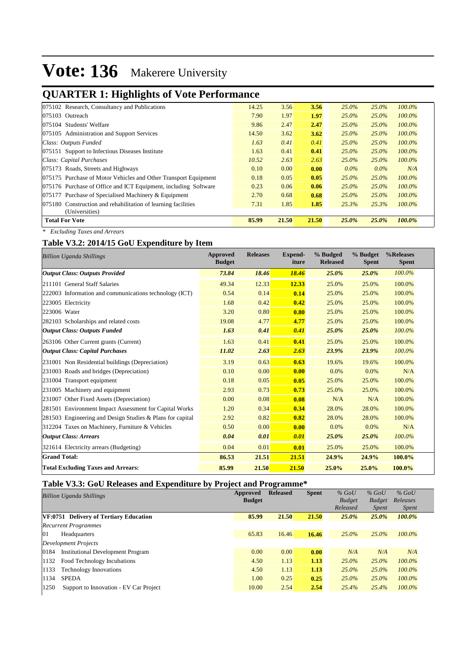## **QUARTER 1: Highlights of Vote Performance**

| 075102 Research, Consultancy and Publications                   | 14.25 | 3.56  | 3.56  | $25.0\%$ | $25.0\%$ | 100.0%    |
|-----------------------------------------------------------------|-------|-------|-------|----------|----------|-----------|
| 075103 Outreach                                                 | 7.90  | 1.97  | 1.97  | $25.0\%$ | $25.0\%$ | 100.0%    |
| 075104 Students' Welfare                                        | 9.86  | 2.47  | 2.47  | $25.0\%$ | $25.0\%$ | 100.0%    |
| 075105 Administration and Support Services                      | 14.50 | 3.62  | 3.62  | $25.0\%$ | $25.0\%$ | $100.0\%$ |
| Class: Outputs Funded                                           | 1.63  | 0.41  | 0.41  | $25.0\%$ | $25.0\%$ | 100.0%    |
| 075151 Support to Infectious Diseases Institute                 | 1.63  | 0.41  | 0.41  | 25.0%    | $25.0\%$ | $100.0\%$ |
| Class: Capital Purchases                                        | 10.52 | 2.63  | 2.63  | $25.0\%$ | $25.0\%$ | 100.0%    |
| 075173 Roads, Streets and Highways                              | 0.10  | 0.00  | 0.00  | $0.0\%$  | $0.0\%$  | N/A       |
| 075175 Purchase of Motor Vehicles and Other Transport Equipment | 0.18  | 0.05  | 0.05  | $25.0\%$ | 25.0%    | $100.0\%$ |
| 075176 Purchase of Office and ICT Equipment, including Software | 0.23  | 0.06  | 0.06  | 25.0%    | $25.0\%$ | 100.0%    |
| 075177 Purchase of Specialised Machinery & Equipment            | 2.70  | 0.68  | 0.68  | 25.0%    | $25.0\%$ | 100.0%    |
| 075180 Construction and rehabilitation of learning facilities   | 7.31  | 1.85  | 1.85  | 25.3%    | 25.3%    | 100.0%    |
| (Universities)                                                  |       |       |       |          |          |           |
| <b>Total For Vote</b>                                           | 85.99 | 21.50 | 21.50 | 25.0%    | 25.0%    | 100.0%    |

*\* Excluding Taxes and Arrears*

#### **Table V3.2: 2014/15 GoU Expenditure by Item**

| <b>Billion Uganda Shillings</b>                           | Approved<br><b>Budget</b> | <b>Releases</b> | <b>Expend-</b><br>iture | % Budged<br><b>Released</b> | % Budget<br><b>Spent</b> | %Releases<br><b>Spent</b> |
|-----------------------------------------------------------|---------------------------|-----------------|-------------------------|-----------------------------|--------------------------|---------------------------|
| <b>Output Class: Outputs Provided</b>                     | 73.84                     | 18.46           | 18.46                   | 25.0%                       | 25.0%                    | 100.0%                    |
| 211101 General Staff Salaries                             | 49.34                     | 12.33           | 12.33                   | 25.0%                       | 25.0%                    | 100.0%                    |
| 222003 Information and communications technology (ICT)    | 0.54                      | 0.14            | 0.14                    | 25.0%                       | 25.0%                    | 100.0%                    |
| 223005 Electricity                                        | 1.68                      | 0.42            | 0.42                    | 25.0%                       | 25.0%                    | 100.0%                    |
| 223006 Water                                              | 3.20                      | 0.80            | 0.80                    | 25.0%                       | 25.0%                    | 100.0%                    |
| 282103 Scholarships and related costs                     | 19.08                     | 4.77            | 4.77                    | 25.0%                       | 25.0%                    | 100.0%                    |
| <b>Output Class: Outputs Funded</b>                       | 1.63                      | 0.41            | 0.41                    | 25.0%                       | 25.0%                    | 100.0%                    |
| 263106 Other Current grants (Current)                     | 1.63                      | 0.41            | 0.41                    | 25.0%                       | 25.0%                    | 100.0%                    |
| <b>Output Class: Capital Purchases</b>                    | 11.02                     | 2.63            | 2.63                    | 23.9%                       | 23.9%                    | 100.0%                    |
| 231001 Non Residential buildings (Depreciation)           | 3.19                      | 0.63            | 0.63                    | 19.6%                       | 19.6%                    | 100.0%                    |
| 231003 Roads and bridges (Depreciation)                   | 0.10                      | 0.00            | 0.00                    | 0.0%                        | 0.0%                     | N/A                       |
| 231004 Transport equipment                                | 0.18                      | 0.05            | 0.05                    | 25.0%                       | 25.0%                    | 100.0%                    |
| 231005 Machinery and equipment                            | 2.93                      | 0.73            | 0.73                    | 25.0%                       | 25.0%                    | 100.0%                    |
| 231007 Other Fixed Assets (Depreciation)                  | 0.00                      | 0.08            | 0.08                    | N/A                         | N/A                      | 100.0%                    |
| 281501 Environment Impact Assessment for Capital Works    | 1.20                      | 0.34            | 0.34                    | 28.0%                       | 28.0%                    | 100.0%                    |
| 281503 Engineering and Design Studies & Plans for capital | 2.92                      | 0.82            | 0.82                    | 28.0%                       | 28.0%                    | 100.0%                    |
| 312204 Taxes on Machinery, Furniture & Vehicles           | 0.50                      | 0.00            | 0.00                    | 0.0%                        | 0.0%                     | N/A                       |
| <b>Output Class: Arrears</b>                              | 0.04                      | 0.01            | 0.01                    | 25.0%                       | 25.0%                    | 100.0%                    |
| 321614 Electricity arrears (Budgeting)                    | 0.04                      | 0.01            | 0.01                    | 25.0%                       | 25.0%                    | 100.0%                    |
| <b>Grand Total:</b>                                       | 86.53                     | 21.51           | 21.51                   | 24.9%                       | 24.9%                    | 100.0%                    |
| <b>Total Excluding Taxes and Arrears:</b>                 | 85.99                     | 21.50           | 21.50                   | 25.0%                       | 25.0%                    | 100.0%                    |

#### **Table V3.3: GoU Releases and Expenditure by Project and Programme\***

|      |                                          |               | -               |              |               |               |              |
|------|------------------------------------------|---------------|-----------------|--------------|---------------|---------------|--------------|
|      | <b>Billion Uganda Shillings</b>          | Approved      | <b>Released</b> | <b>Spent</b> | $%$ GoU       | $%$ GoU       | $%$ GoU      |
|      |                                          | <b>Budget</b> |                 |              | <b>Budget</b> | <b>Budget</b> | Releases     |
|      |                                          |               |                 |              | Released      | <i>Spent</i>  | <i>Spent</i> |
|      | VF:0751 Delivery of Tertiary Education   | 85.99         | 21.50           | 21.50        | $25.0\%$      | 25.0%         | 100.0%       |
|      | <b>Recurrent Programmes</b>              |               |                 |              |               |               |              |
| 01   | Headquarters                             | 65.83         | 16.46           | 16.46        | $25.0\%$      | 25.0%         | $100.0\%$    |
|      | Development Projects                     |               |                 |              |               |               |              |
| 0184 | <b>Institutional Development Program</b> | 0.00          | 0.00            | 0.00         | N/A           | N/A           | N/A          |
| 1132 | Food Technology Incubations              | 4.50          | 1.13            | 1.13         | $25.0\%$      | 25.0%         | $100.0\%$    |
| 1133 | <b>Technology Innovations</b>            | 4.50          | 1.13            | 1.13         | 25.0%         | 25.0%         | $100.0\%$    |
| 1134 | <b>SPEDA</b>                             | 1.00          | 0.25            | 0.25         | 25.0%         | 25.0%         | $100.0\%$    |
| 1250 | Support to Innovation - EV Car Project   | 10.00         | 2.54            | 2.54         | 25.4%         | 25.4%         | 100.0%       |